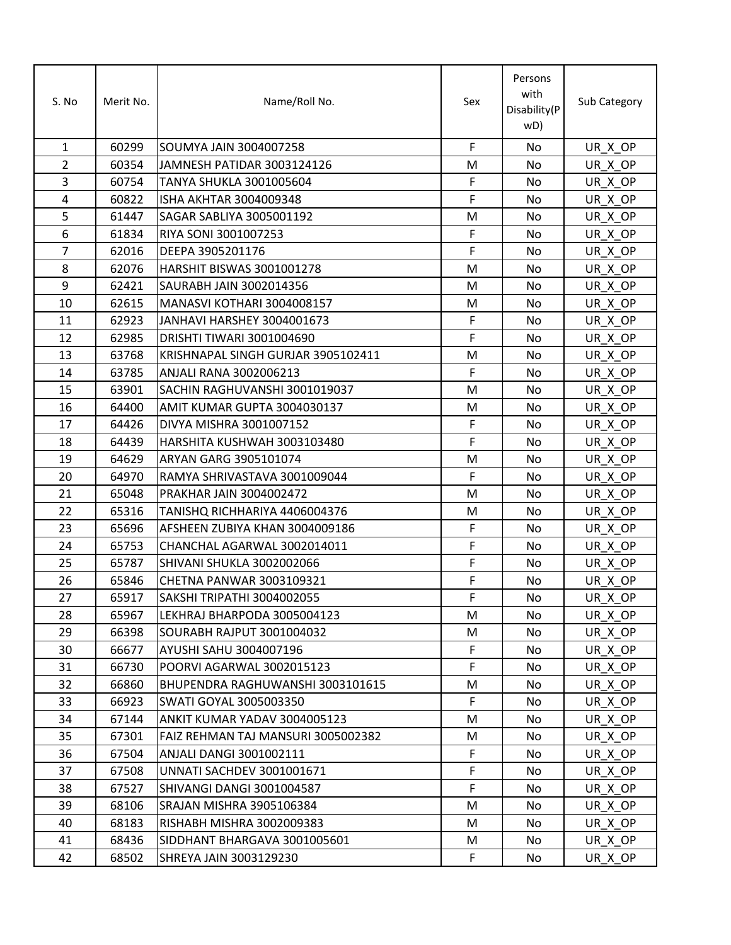| S. No          | Merit No. | Name/Roll No.                      | Sex         | Persons<br>with<br>Disability(P<br>wD) | Sub Category |
|----------------|-----------|------------------------------------|-------------|----------------------------------------|--------------|
| $\mathbf{1}$   | 60299     | <b>SOUMYA JAIN 3004007258</b>      | $\mathsf F$ | No                                     | UR X OP      |
| $\overline{2}$ | 60354     | <b>JAMNESH PATIDAR 3003124126</b>  | M           | No                                     | UR X OP      |
| 3              | 60754     | <b>TANYA SHUKLA 3001005604</b>     | F           | No                                     | UR X OP      |
| 4              | 60822     | <b>ISHA AKHTAR 3004009348</b>      | F           | No                                     | UR X OP      |
| 5              | 61447     | SAGAR SABLIYA 3005001192           | M           | No                                     | UR_X_OP      |
| 6              | 61834     | RIYA SONI 3001007253               | $\mathsf F$ | No                                     | UR X OP      |
| $\overline{7}$ | 62016     | DEEPA 3905201176                   | $\mathsf F$ | No                                     | UR X OP      |
| 8              | 62076     | HARSHIT BISWAS 3001001278          | M           | No                                     | UR_X_OP      |
| 9              | 62421     | <b>SAURABH JAIN 3002014356</b>     | M           | No                                     | UR X OP      |
| 10             | 62615     | MANASVI KOTHARI 3004008157         | M           | No                                     | UR_X_OP      |
| 11             | 62923     | JANHAVI HARSHEY 3004001673         | $\mathsf F$ | No                                     | UR X OP      |
| 12             | 62985     | DRISHTI TIWARI 3001004690          | $\mathsf F$ | No                                     | UR X OP      |
| 13             | 63768     | KRISHNAPAL SINGH GURJAR 3905102411 | M           | No                                     | UR X OP      |
| 14             | 63785     | ANJALI RANA 3002006213             | $\mathsf F$ | No                                     | UR_X_OP      |
| 15             | 63901     | SACHIN RAGHUVANSHI 3001019037      | M           | No                                     | UR X OP      |
| 16             | 64400     | AMIT KUMAR GUPTA 3004030137        | M           | No                                     | UR X OP      |
| 17             | 64426     | DIVYA MISHRA 3001007152            | F           | No                                     | UR X OP      |
| 18             | 64439     | HARSHITA KUSHWAH 3003103480        | $\mathsf F$ | No                                     | UR X OP      |
| 19             | 64629     | ARYAN GARG 3905101074              | M           | No                                     | UR X OP      |
| 20             | 64970     | RAMYA SHRIVASTAVA 3001009044       | $\mathsf F$ | No                                     | UR X OP      |
| 21             | 65048     | <b>PRAKHAR JAIN 3004002472</b>     | M           | No                                     | UR X OP      |
| 22             | 65316     | TANISHQ RICHHARIYA 4406004376      | M           | No                                     | UR_X_OP      |
| 23             | 65696     | AFSHEEN ZUBIYA KHAN 3004009186     | $\mathsf F$ | No                                     | UR X OP      |
| 24             | 65753     | CHANCHAL AGARWAL 3002014011        | $\mathsf F$ | No                                     | UR_X_OP      |
| 25             | 65787     | SHIVANI SHUKLA 3002002066          | $\mathsf F$ | No                                     | UR X OP      |
| 26             | 65846     | CHETNA PANWAR 3003109321           | $\mathsf F$ | No                                     | UR_X_OP      |
| 27             | 65917     | SAKSHI TRIPATHI 3004002055         | F           | No                                     | UR_X_OP      |
| 28             | 65967     | LEKHRAJ BHARPODA 3005004123        | M           | No                                     | UR X OP      |
| 29             | 66398     | SOURABH RAJPUT 3001004032          | M           | No                                     | UR_X_OP      |
| 30             | 66677     | <b>AYUSHI SAHU 3004007196</b>      | F           | No                                     | UR X OP      |
| 31             | 66730     | POORVI AGARWAL 3002015123          | $\mathsf F$ | No                                     | UR_X_OP      |
| 32             | 66860     | BHUPENDRA RAGHUWANSHI 3003101615   | M           | No                                     | UR X OP      |
| 33             | 66923     | <b>SWATI GOYAL 3005003350</b>      | F           | No                                     | UR X OP      |
| 34             | 67144     | ANKIT KUMAR YADAV 3004005123       | M           | No                                     | UR X OP      |
| 35             | 67301     | FAIZ REHMAN TAJ MANSURI 3005002382 | M           | No                                     | UR X OP      |
| 36             | 67504     | ANJALI DANGI 3001002111            | F           | No                                     | UR_X_OP      |
| 37             | 67508     | UNNATI SACHDEV 3001001671          | $\mathsf F$ | No                                     | UR X OP      |
| 38             | 67527     | SHIVANGI DANGI 3001004587          | F           | No                                     | UR X OP      |
| 39             | 68106     | SRAJAN MISHRA 3905106384           | M           | No                                     | UR X OP      |
| 40             | 68183     | RISHABH MISHRA 3002009383          | M           | No                                     | UR_X_OP      |
| 41             | 68436     | SIDDHANT BHARGAVA 3001005601       | M           | No                                     | UR_X_OP      |
| 42             | 68502     | SHREYA JAIN 3003129230             | F           | No                                     | UR_X_OP      |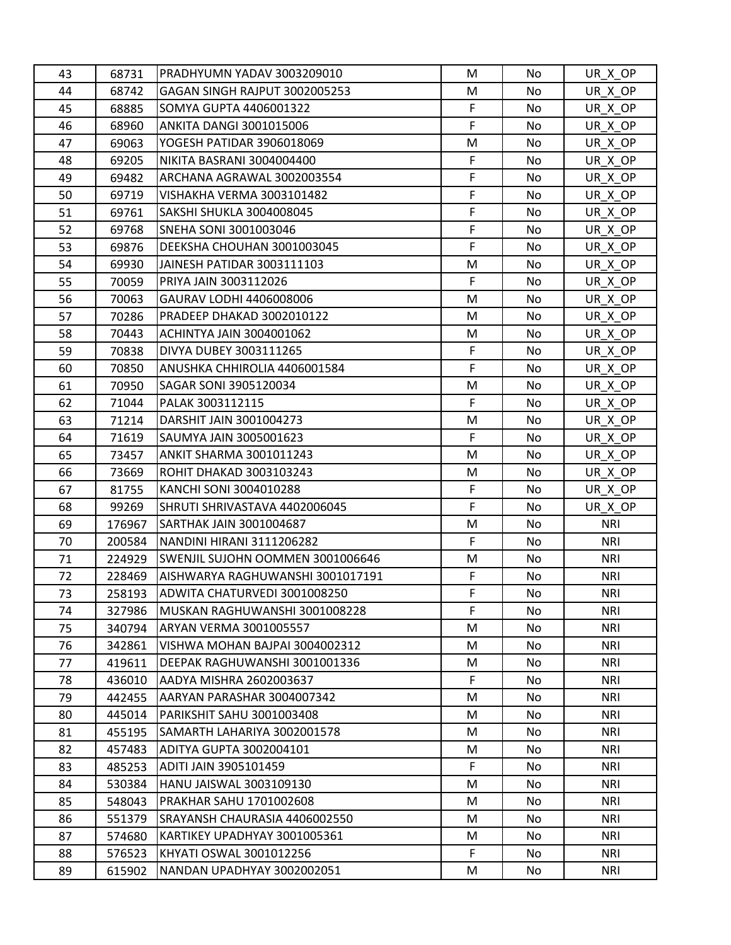| 43 | 68731  | PRADHYUMN YADAV 3003209010        | M           | No  | UR X OP    |
|----|--------|-----------------------------------|-------------|-----|------------|
| 44 | 68742  | GAGAN SINGH RAJPUT 3002005253     | M           | No  | UR_X_OP    |
| 45 | 68885  | <b>SOMYA GUPTA 4406001322</b>     | F           | No. | UR X OP    |
| 46 | 68960  | <b>ANKITA DANGI 3001015006</b>    | F           | No. | UR X OP    |
| 47 | 69063  | YOGESH PATIDAR 3906018069         | M           | No. | UR_X_OP    |
| 48 | 69205  | NIKITA BASRANI 3004004400         | $\mathsf F$ | No. | UR_X_OP    |
| 49 | 69482  | ARCHANA AGRAWAL 3002003554        | F           | No. | UR_X_OP    |
| 50 | 69719  | VISHAKHA VERMA 3003101482         | F           | No. | UR X OP    |
| 51 | 69761  | SAKSHI SHUKLA 3004008045          | F           | No  | UR_X_OP    |
| 52 | 69768  | SNEHA SONI 3001003046             | F           | No. | UR_X_OP    |
| 53 | 69876  | DEEKSHA CHOUHAN 3001003045        | F           | No  | UR_X_OP    |
| 54 | 69930  | JAINESH PATIDAR 3003111103        | M           | No. | UR X OP    |
| 55 | 70059  | PRIYA JAIN 3003112026             | F           | No  | UR_X_OP    |
| 56 | 70063  | GAURAV LODHI 4406008006           | M           | No  | UR X OP    |
| 57 | 70286  | <b>PRADEEP DHAKAD 3002010122</b>  | M           | No  | UR_X_OP    |
| 58 | 70443  | <b>ACHINTYA JAIN 3004001062</b>   | M           | No. | UR_X_OP    |
| 59 | 70838  | <b>DIVYA DUBEY 3003111265</b>     | F           | No  | UR_X_OP    |
| 60 | 70850  | ANUSHKA CHHIROLIA 4406001584      | F           | No  | UR_X_OP    |
| 61 | 70950  | SAGAR SONI 3905120034             | M           | No  | UR_X_OP    |
| 62 | 71044  | PALAK 3003112115                  | F           | No  | UR_X_OP    |
| 63 | 71214  | DARSHIT JAIN 3001004273           | M           | No  | UR_X_OP    |
| 64 | 71619  | SAUMYA JAIN 3005001623            | F           | No. | UR_X_OP    |
| 65 | 73457  | ANKIT SHARMA 3001011243           | M           | No  | UR_X_OP    |
| 66 | 73669  | <b>ROHIT DHAKAD 3003103243</b>    | M           | No  | UR_X_OP    |
| 67 | 81755  | KANCHI SONI 3004010288            | $\mathsf F$ | No. | UR_X_OP    |
| 68 | 99269  | SHRUTI SHRIVASTAVA 4402006045     | F           | No  | UR_X_OP    |
| 69 | 176967 | <b>SARTHAK JAIN 3001004687</b>    | M           | No. | <b>NRI</b> |
| 70 | 200584 | NANDINI HIRANI 3111206282         | F           | No. | <b>NRI</b> |
| 71 | 224929 | ISWENJIL SUJOHN OOMMEN 3001006646 | M           | No. | <b>NRI</b> |
| 72 | 228469 | AISHWARYA RAGHUWANSHI 3001017191  | F           | No  | <b>NRI</b> |
| 73 | 258193 | ADWITA CHATURVEDI 3001008250      | $\mathsf F$ | No  | <b>NRI</b> |
| 74 | 327986 | MUSKAN RAGHUWANSHI 3001008228     | F           | No  | <b>NRI</b> |
| 75 | 340794 | <b>ARYAN VERMA 3001005557</b>     | M           | No  | <b>NRI</b> |
| 76 | 342861 | VISHWA MOHAN BAJPAI 3004002312    | M           | No. | <b>NRI</b> |
| 77 | 419611 | DEEPAK RAGHUWANSHI 3001001336     | M           | No. | <b>NRI</b> |
| 78 | 436010 | AADYA MISHRA 2602003637           | F           | No. | <b>NRI</b> |
| 79 | 442455 | IAARYAN PARASHAR 3004007342       | M           | No. | <b>NRI</b> |
| 80 | 445014 | PARIKSHIT SAHU 3001003408         | M           | No. | <b>NRI</b> |
| 81 | 455195 | SAMARTH LAHARIYA 3002001578       | M           | No  | <b>NRI</b> |
| 82 | 457483 | <b>ADITYA GUPTA 3002004101</b>    | M           | No. | <b>NRI</b> |
| 83 | 485253 | <b>ADITI JAIN 3905101459</b>      | F           | No. | <b>NRI</b> |
| 84 | 530384 | HANU JAISWAL 3003109130           | M           | No  | <b>NRI</b> |
| 85 | 548043 | PRAKHAR SAHU 1701002608           | M           | No. | <b>NRI</b> |
| 86 | 551379 | SRAYANSH CHAURASIA 4406002550     | M           | No  | <b>NRI</b> |
| 87 | 574680 | KARTIKEY UPADHYAY 3001005361      | M           | No. | <b>NRI</b> |
| 88 | 576523 | KHYATI OSWAL 3001012256           | F           | No  | <b>NRI</b> |
| 89 | 615902 | NANDAN UPADHYAY 3002002051        | M           | No  | <b>NRI</b> |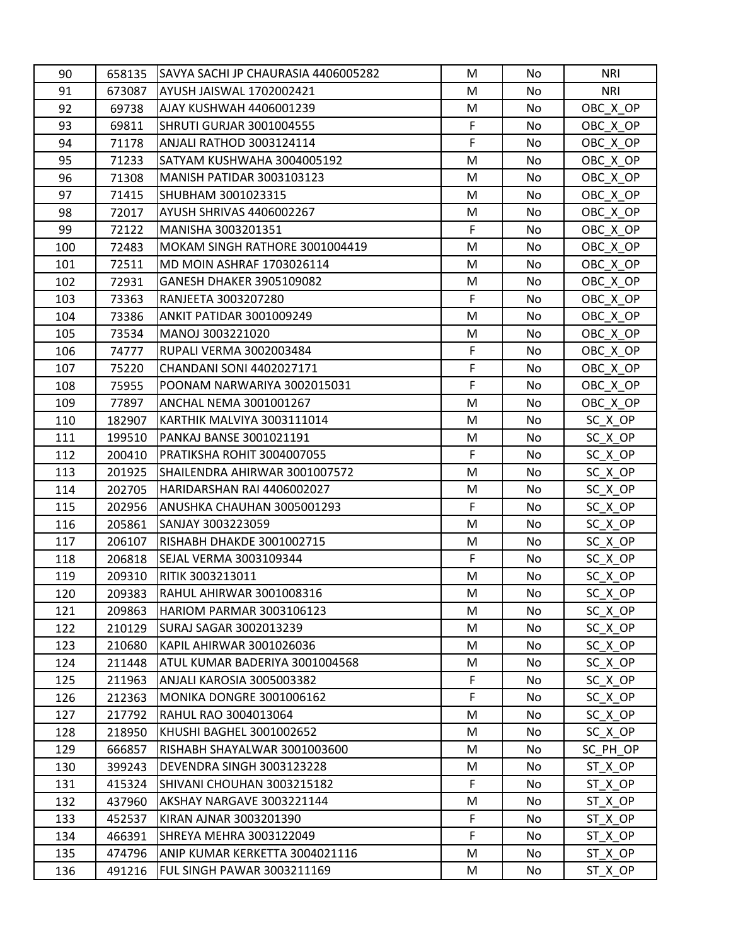| 90  | 658135 | SAVYA SACHI JP CHAURASIA 4406005282 | M           | No  | <b>NRI</b> |
|-----|--------|-------------------------------------|-------------|-----|------------|
| 91  | 673087 | AYUSH JAISWAL 1702002421            | M           | No  | <b>NRI</b> |
| 92  | 69738  | AJAY KUSHWAH 4406001239             | M           | No. | OBC_X_OP   |
| 93  | 69811  | SHRUTI GURJAR 3001004555            | F           | No  | OBC X OP   |
| 94  | 71178  | <b>ANJALI RATHOD 3003124114</b>     | F           | No  | OBC_X_OP   |
| 95  | 71233  | SATYAM KUSHWAHA 3004005192          | M           | No  | OBC_X_OP   |
| 96  | 71308  | MANISH PATIDAR 3003103123           | M           | No. | OBC X OP   |
| 97  | 71415  | SHUBHAM 3001023315                  | M           | No. | OBC_X_OP   |
| 98  | 72017  | AYUSH SHRIVAS 4406002267            | M           | No  | OBC_X_OP   |
| 99  | 72122  | MANISHA 3003201351                  | F           | No. | OBC_X_OP   |
| 100 | 72483  | MOKAM SINGH RATHORE 3001004419      | M           | No  | OBC_X_OP   |
| 101 | 72511  | MD MOIN ASHRAF 1703026114           | M           | No  | OBC_X_OP   |
| 102 | 72931  | GANESH DHAKER 3905109082            | M           | No  | OBC_X_OP   |
| 103 | 73363  | RANJEETA 3003207280                 | $\mathsf F$ | No  | OBC X OP   |
| 104 | 73386  | <b>ANKIT PATIDAR 3001009249</b>     | M           | No  | OBC_X_OP   |
| 105 | 73534  | MANOJ 3003221020                    | M           | No  | OBC_X_OP   |
| 106 | 74777  | IRUPALI VERMA 3002003484            | F           | No  | OBC_X_OP   |
| 107 | 75220  | <b>CHANDANI SONI 4402027171</b>     | F           | No  | OBC_X_OP   |
| 108 | 75955  | POONAM NARWARIYA 3002015031         | F           | No  | OBC X OP   |
| 109 | 77897  | ANCHAL NEMA 3001001267              | M           | No  | OBC_X_OP   |
| 110 | 182907 | KARTHIK MALVIYA 3003111014          | M           | No  | SC X OP    |
| 111 | 199510 | PANKAJ BANSE 3001021191             | M           | No. | SC X OP    |
| 112 | 200410 | PRATIKSHA ROHIT 3004007055          | F           | No  | SC_X_OP    |
| 113 | 201925 | SHAILENDRA AHIRWAR 3001007572       | M           | No  | SC_X_OP    |
| 114 | 202705 | HARIDARSHAN RAI 4406002027          | M           | No. | SC X OP    |
| 115 | 202956 | ANUSHKA CHAUHAN 3005001293          | $\mathsf F$ | No  | SC X OP    |
| 116 | 205861 | SANJAY 3003223059                   | M           | No. | SC_X_OP    |
| 117 | 206107 | RISHABH DHAKDE 3001002715           | M           | No. | SC_X_OP    |
| 118 | 206818 | <b>SEJAL VERMA 3003109344</b>       | F           | No. | SC_X_OP    |
| 119 | 209310 | <b>RITIK 3003213011</b>             | M           | No  | SC_X_OP    |
| 120 | 209383 | <b>RAHUL AHIRWAR 3001008316</b>     | M           | No  | SC X OP    |
| 121 | 209863 | HARIOM PARMAR 3003106123            | M           | No  | SC_X_OP    |
| 122 | 210129 | SURAJ SAGAR 3002013239              | M           | No  | SC X OP    |
| 123 | 210680 | KAPIL AHIRWAR 3001026036            | M           | No  | SC_X_OP    |
| 124 | 211448 | ATUL KUMAR BADERIYA 3001004568      | M           | No  | SC X OP    |
| 125 | 211963 | ANJALI KAROSIA 3005003382           | F           | No  | SC_X_OP    |
| 126 | 212363 | MONIKA DONGRE 3001006162            | F           | No  | SC X OP    |
| 127 | 217792 | <b>RAHUL RAO 3004013064</b>         | M           | No  | SC_X_OP    |
| 128 | 218950 | KHUSHI BAGHEL 3001002652            | M           | No  | $SC_XOP$   |
| 129 | 666857 | RISHABH SHAYALWAR 3001003600        | M           | No  | SC_PH_OP   |
| 130 | 399243 | DEVENDRA SINGH 3003123228           | M           | No. | ST_X_OP    |
| 131 | 415324 | SHIVANI CHOUHAN 3003215182          | F           | No  | ST_X_OP    |
| 132 | 437960 | AKSHAY NARGAVE 3003221144           | M           | No  | ST X OP    |
| 133 | 452537 | KIRAN AJNAR 3003201390              | F           | No  | ST_X_OP    |
| 134 | 466391 | SHREYA MEHRA 3003122049             | F           | No  | ST_X_OP    |
| 135 | 474796 | ANIP KUMAR KERKETTA 3004021116      | M           | No  | ST_X_OP    |
| 136 | 491216 | FUL SINGH PAWAR 3003211169          | M           | No  | ST_X_OP    |